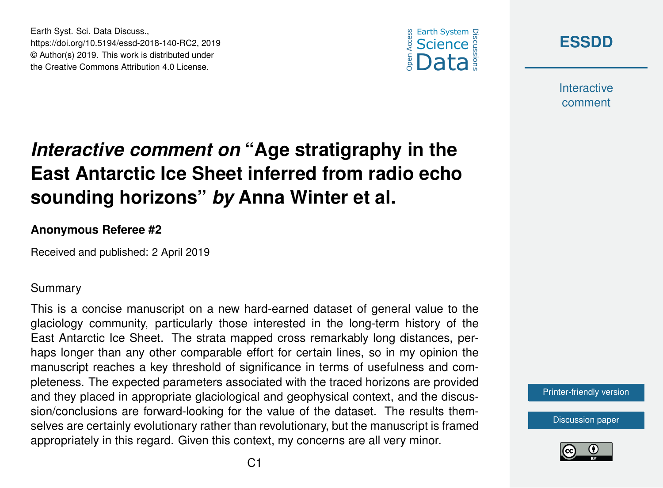



**Interactive** comment

## *Interactive comment on* **"Age stratigraphy in the East Antarctic Ice Sheet inferred from radio echo sounding horizons"** *by* **Anna Winter et al.**

## **Anonymous Referee #2**

Earth Syst. Sci. Data Discuss.,

https://doi.org/10.5194/essd-2018-140-RC2, 2019 © Author(s) 2019. This work is distributed under the Creative Commons Attribution 4.0 License.

Received and published: 2 April 2019

## Summary

This is a concise manuscript on a new hard-earned dataset of general value to the glaciology community, particularly those interested in the long-term history of the East Antarctic Ice Sheet. The strata mapped cross remarkably long distances, perhaps longer than any other comparable effort for certain lines, so in my opinion the manuscript reaches a key threshold of significance in terms of usefulness and completeness. The expected parameters associated with the traced horizons are provided and they placed in appropriate glaciological and geophysical context, and the discussion/conclusions are forward-looking for the value of the dataset. The results themselves are certainly evolutionary rather than revolutionary, but the manuscript is framed appropriately in this regard. Given this context, my concerns are all very minor.

[Printer-friendly version](https://www.earth-syst-sci-data-discuss.net/essd-2018-140/essd-2018-140-RC2-print.pdf)

[Discussion paper](https://www.earth-syst-sci-data-discuss.net/essd-2018-140)